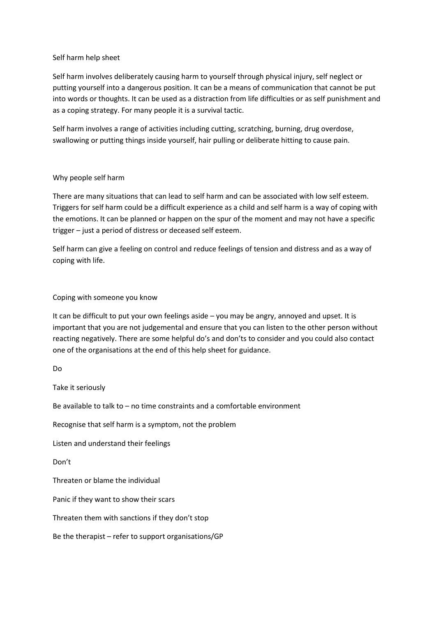## Self harm help sheet

Self harm involves deliberately causing harm to yourself through physical injury, self neglect or putting yourself into a dangerous position. It can be a means of communication that cannot be put into words or thoughts. It can be used as a distraction from life difficulties or as self punishment and as a coping strategy. For many people it is a survival tactic.

Self harm involves a range of activities including cutting, scratching, burning, drug overdose, swallowing or putting things inside yourself, hair pulling or deliberate hitting to cause pain.

## Why people self harm

There are many situations that can lead to self harm and can be associated with low self esteem. Triggers for self harm could be a difficult experience as a child and self harm is a way of coping with the emotions. It can be planned or happen on the spur of the moment and may not have a specific trigger – just a period of distress or deceased self esteem.

Self harm can give a feeling on control and reduce feelings of tension and distress and as a way of coping with life.

## Coping with someone you know

It can be difficult to put your own feelings aside – you may be angry, annoyed and upset. It is important that you are not judgemental and ensure that you can listen to the other person without reacting negatively. There are some helpful do's and don'ts to consider and you could also contact one of the organisations at the end of this help sheet for guidance.

Do

Take it seriously

Be available to talk to – no time constraints and a comfortable environment

Recognise that self harm is a symptom, not the problem

Listen and understand their feelings

Don't

Threaten or blame the individual

Panic if they want to show their scars

Threaten them with sanctions if they don't stop

Be the therapist – refer to support organisations/GP